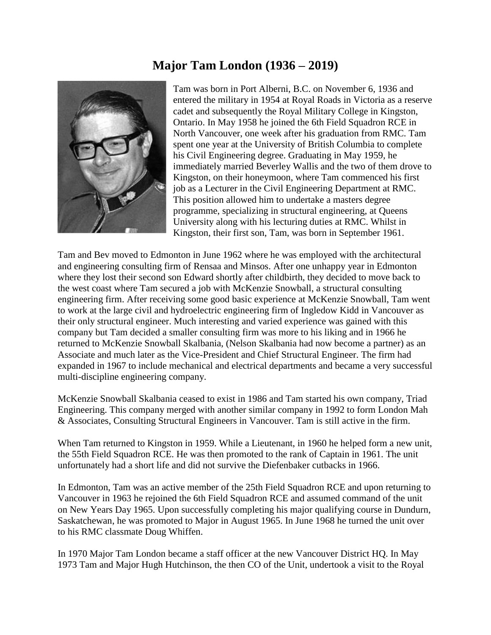## **Major Tam London (1936 – 2019)**



Tam was born in Port Alberni, B.C. on November 6, 1936 and entered the military in 1954 at Royal Roads in Victoria as a reserve cadet and subsequently the Royal Military College in Kingston, Ontario. In May 1958 he joined the 6th Field Squadron RCE in North Vancouver, one week after his graduation from RMC. Tam spent one year at the University of British Columbia to complete his Civil Engineering degree. Graduating in May 1959, he immediately married Beverley Wallis and the two of them drove to Kingston, on their honeymoon, where Tam commenced his first job as a Lecturer in the Civil Engineering Department at RMC. This position allowed him to undertake a masters degree programme, specializing in structural engineering, at Queens University along with his lecturing duties at RMC. Whilst in Kingston, their first son, Tam, was born in September 1961.

Tam and Bev moved to Edmonton in June 1962 where he was employed with the architectural and engineering consulting firm of Rensaa and Minsos. After one unhappy year in Edmonton where they lost their second son Edward shortly after childbirth, they decided to move back to the west coast where Tam secured a job with McKenzie Snowball, a structural consulting engineering firm. After receiving some good basic experience at McKenzie Snowball, Tam went to work at the large civil and hydroelectric engineering firm of Ingledow Kidd in Vancouver as their only structural engineer. Much interesting and varied experience was gained with this company but Tam decided a smaller consulting firm was more to his liking and in 1966 he returned to McKenzie Snowball Skalbania, (Nelson Skalbania had now become a partner) as an Associate and much later as the Vice-President and Chief Structural Engineer. The firm had expanded in 1967 to include mechanical and electrical departments and became a very successful multi-discipline engineering company.

McKenzie Snowball Skalbania ceased to exist in 1986 and Tam started his own company, Triad Engineering. This company merged with another similar company in 1992 to form London Mah & Associates, Consulting Structural Engineers in Vancouver. Tam is still active in the firm.

When Tam returned to Kingston in 1959. While a Lieutenant, in 1960 he helped form a new unit, the 55th Field Squadron RCE. He was then promoted to the rank of Captain in 1961. The unit unfortunately had a short life and did not survive the Diefenbaker cutbacks in 1966.

In Edmonton, Tam was an active member of the 25th Field Squadron RCE and upon returning to Vancouver in 1963 he rejoined the 6th Field Squadron RCE and assumed command of the unit on New Years Day 1965. Upon successfully completing his major qualifying course in Dundurn, Saskatchewan, he was promoted to Major in August 1965. In June 1968 he turned the unit over to his RMC classmate Doug Whiffen.

In 1970 Major Tam London became a staff officer at the new Vancouver District HQ. In May 1973 Tam and Major Hugh Hutchinson, the then CO of the Unit, undertook a visit to the Royal